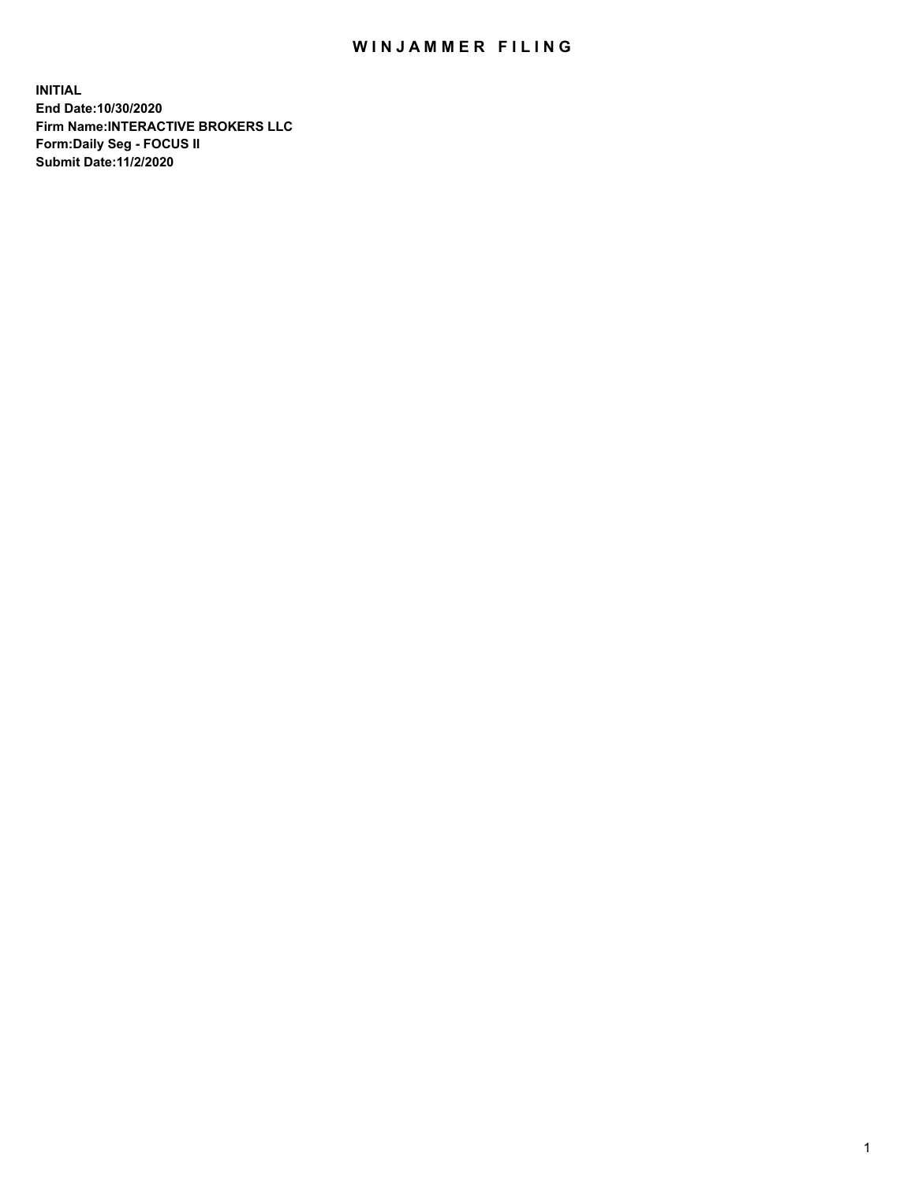## WIN JAMMER FILING

**INITIAL End Date:10/30/2020 Firm Name:INTERACTIVE BROKERS LLC Form:Daily Seg - FOCUS II Submit Date:11/2/2020**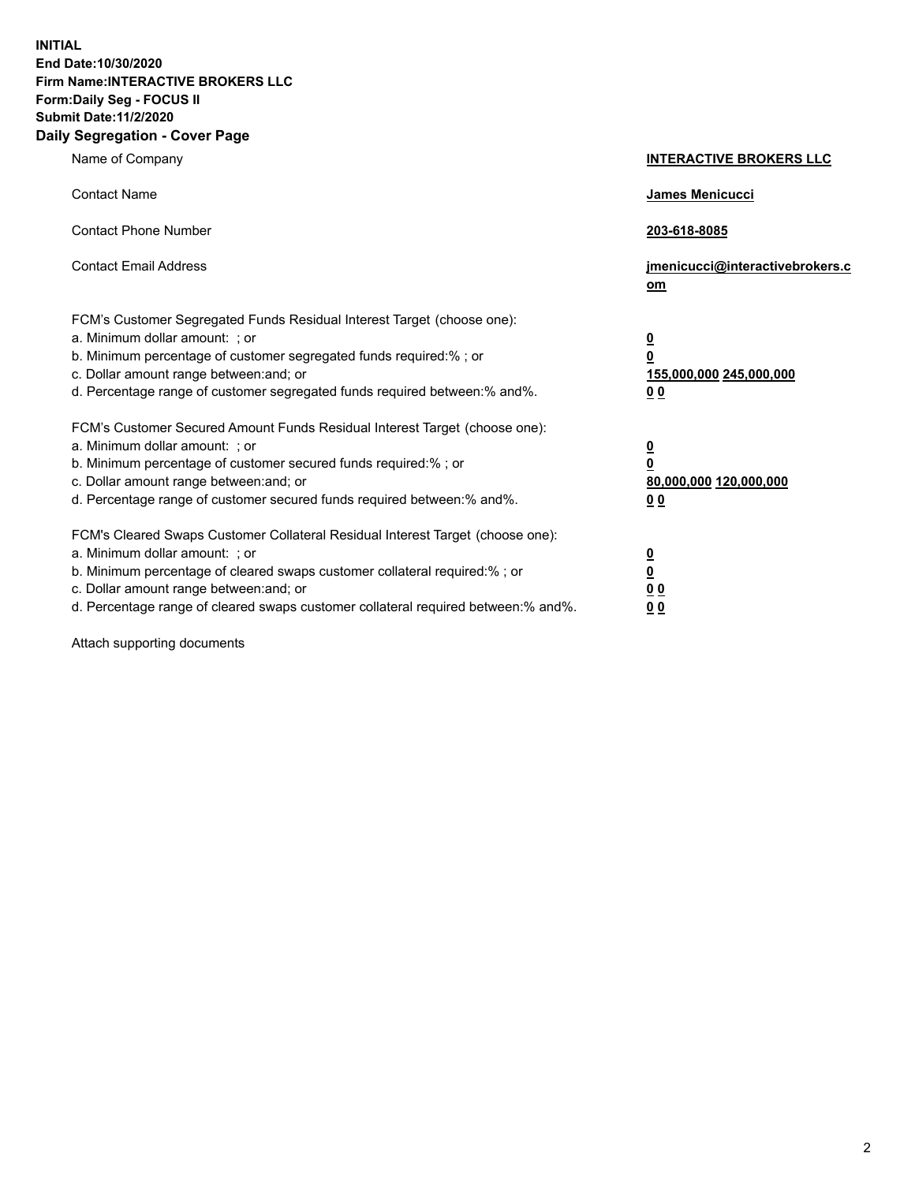**INITIAL End Date:10/30/2020 Firm Name:INTERACTIVE BROKERS LLC Form:Daily Seg - FOCUS II Submit Date:11/2/2020 Daily Segregation - Cover Page**

| Name of Company                                                                                                                                                                                                                                                                                                                | <b>INTERACTIVE BROKERS LLC</b>                                                                  |
|--------------------------------------------------------------------------------------------------------------------------------------------------------------------------------------------------------------------------------------------------------------------------------------------------------------------------------|-------------------------------------------------------------------------------------------------|
| <b>Contact Name</b>                                                                                                                                                                                                                                                                                                            | <b>James Menicucci</b>                                                                          |
| <b>Contact Phone Number</b>                                                                                                                                                                                                                                                                                                    | 203-618-8085                                                                                    |
| <b>Contact Email Address</b>                                                                                                                                                                                                                                                                                                   | jmenicucci@interactivebrokers.c<br>om                                                           |
| FCM's Customer Segregated Funds Residual Interest Target (choose one):<br>a. Minimum dollar amount: ; or<br>b. Minimum percentage of customer segregated funds required:% ; or<br>c. Dollar amount range between: and; or<br>d. Percentage range of customer segregated funds required between: % and %.                       | $\overline{\mathbf{0}}$<br>$\overline{\mathbf{0}}$<br>155,000,000 245,000,000<br>0 <sub>0</sub> |
| FCM's Customer Secured Amount Funds Residual Interest Target (choose one):<br>a. Minimum dollar amount: ; or<br>b. Minimum percentage of customer secured funds required:%; or<br>c. Dollar amount range between: and; or<br>d. Percentage range of customer secured funds required between:% and%.                            | <u>0</u><br>$\overline{\mathbf{0}}$<br>80,000,000 120,000,000<br>00                             |
| FCM's Cleared Swaps Customer Collateral Residual Interest Target (choose one):<br>a. Minimum dollar amount: ; or<br>b. Minimum percentage of cleared swaps customer collateral required:% ; or<br>c. Dollar amount range between: and; or<br>d. Percentage range of cleared swaps customer collateral required between:% and%. | $\overline{\mathbf{0}}$<br>$\underline{\mathbf{0}}$<br>0 <sub>0</sub><br>0 <sub>0</sub>         |

Attach supporting documents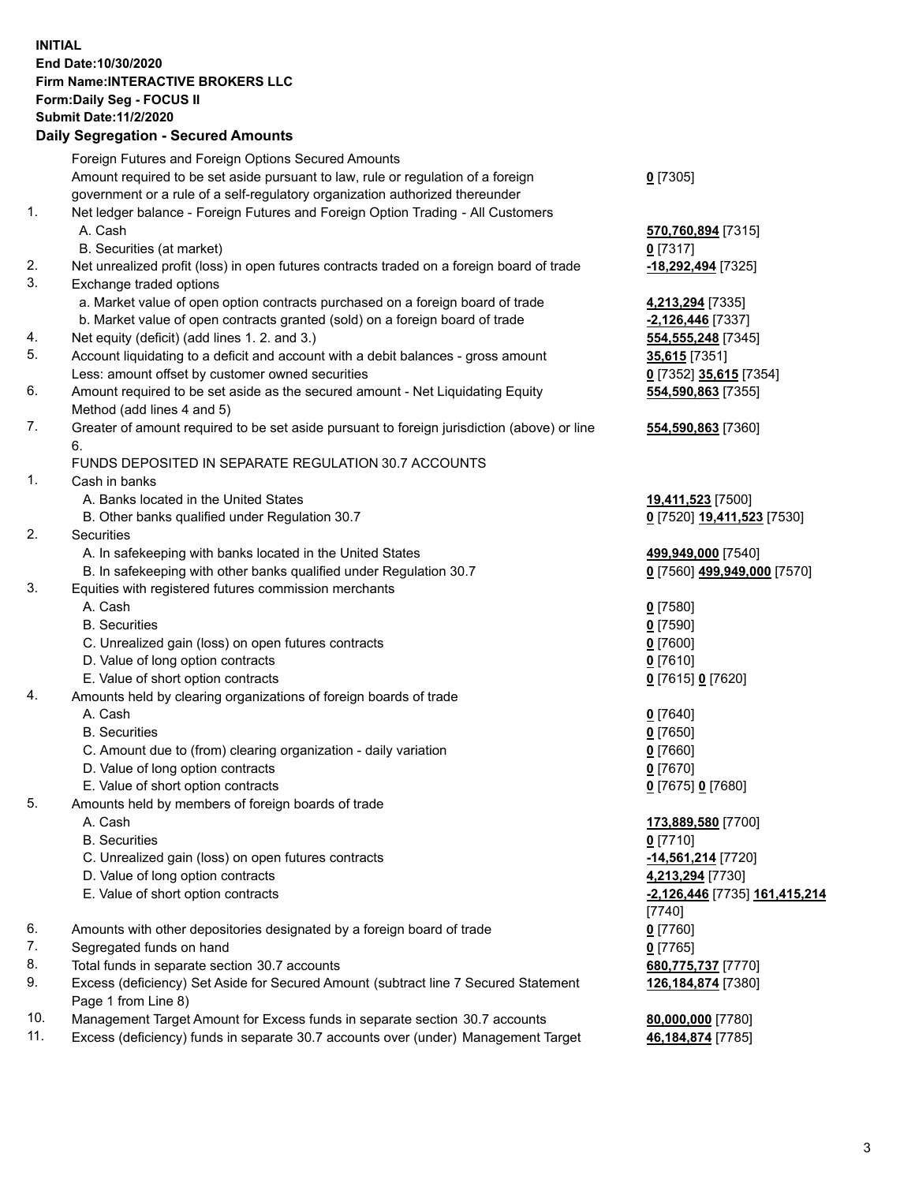## **INITIAL End Date:10/30/2020 Firm Name:INTERACTIVE BROKERS LLC Form:Daily Seg - FOCUS II Submit Date:11/2/2020 Daily Segregation - Secured Amounts**

|     | Daily Segregation - Secured Amounts                                                         |                               |
|-----|---------------------------------------------------------------------------------------------|-------------------------------|
|     | Foreign Futures and Foreign Options Secured Amounts                                         |                               |
|     | Amount required to be set aside pursuant to law, rule or regulation of a foreign            | $0$ [7305]                    |
|     | government or a rule of a self-regulatory organization authorized thereunder                |                               |
| 1.  | Net ledger balance - Foreign Futures and Foreign Option Trading - All Customers             |                               |
|     | A. Cash                                                                                     | 570,760,894 [7315]            |
|     | B. Securities (at market)                                                                   | $0$ [7317]                    |
| 2.  | Net unrealized profit (loss) in open futures contracts traded on a foreign board of trade   | -18,292,494 [7325]            |
| 3.  | Exchange traded options                                                                     |                               |
|     | a. Market value of open option contracts purchased on a foreign board of trade              | 4,213,294 [7335]              |
|     | b. Market value of open contracts granted (sold) on a foreign board of trade                | $-2,126,446$ [7337]           |
| 4.  | Net equity (deficit) (add lines 1. 2. and 3.)                                               | 554, 555, 248 [7345]          |
| 5.  | Account liquidating to a deficit and account with a debit balances - gross amount           | 35,615 [7351]                 |
|     | Less: amount offset by customer owned securities                                            | 0 [7352] 35,615 [7354]        |
| 6.  | Amount required to be set aside as the secured amount - Net Liquidating Equity              | 554,590,863 [7355]            |
|     | Method (add lines 4 and 5)                                                                  |                               |
| 7.  | Greater of amount required to be set aside pursuant to foreign jurisdiction (above) or line | 554,590,863 [7360]            |
|     | 6.                                                                                          |                               |
|     | FUNDS DEPOSITED IN SEPARATE REGULATION 30.7 ACCOUNTS                                        |                               |
| 1.  | Cash in banks                                                                               |                               |
|     | A. Banks located in the United States                                                       | 19,411,523 [7500]             |
|     | B. Other banks qualified under Regulation 30.7                                              | 0 [7520] 19,411,523 [7530]    |
| 2.  | Securities                                                                                  |                               |
|     | A. In safekeeping with banks located in the United States                                   | 499,949,000 [7540]            |
|     | B. In safekeeping with other banks qualified under Regulation 30.7                          | 0 [7560] 499,949,000 [7570]   |
| 3.  | Equities with registered futures commission merchants                                       |                               |
|     | A. Cash                                                                                     | $0$ [7580]                    |
|     | <b>B.</b> Securities                                                                        | $0$ [7590]                    |
|     | C. Unrealized gain (loss) on open futures contracts                                         | $0$ [7600]                    |
|     | D. Value of long option contracts                                                           | $0$ [7610]                    |
|     | E. Value of short option contracts                                                          | 0 [7615] 0 [7620]             |
| 4.  | Amounts held by clearing organizations of foreign boards of trade                           |                               |
|     | A. Cash                                                                                     | $0$ [7640]                    |
|     | <b>B.</b> Securities                                                                        | $0$ [7650]                    |
|     | C. Amount due to (from) clearing organization - daily variation                             | $0$ [7660]                    |
|     | D. Value of long option contracts                                                           | $0$ [7670]                    |
|     | E. Value of short option contracts                                                          | 0 [7675] 0 [7680]             |
| 5.  | Amounts held by members of foreign boards of trade                                          |                               |
|     | A. Cash                                                                                     | 173,889,580 [7700]            |
|     | <b>B.</b> Securities                                                                        | $0$ [7710]                    |
|     | C. Unrealized gain (loss) on open futures contracts                                         | -14,561,214 [7720]            |
|     | D. Value of long option contracts                                                           | 4,213,294 [7730]              |
|     | E. Value of short option contracts                                                          | -2,126,446 [7735] 161,415,214 |
|     |                                                                                             | [7740]                        |
| 6.  | Amounts with other depositories designated by a foreign board of trade                      | $0$ [7760]                    |
| 7.  | Segregated funds on hand                                                                    | $0$ [7765]                    |
| 8.  | Total funds in separate section 30.7 accounts                                               | 680,775,737 [7770]            |
| 9.  | Excess (deficiency) Set Aside for Secured Amount (subtract line 7 Secured Statement         | 126, 184, 874 [7380]          |
|     | Page 1 from Line 8)                                                                         |                               |
| 10. | Management Target Amount for Excess funds in separate section 30.7 accounts                 | 80,000,000 [7780]             |
| 11. | Excess (deficiency) funds in separate 30.7 accounts over (under) Management Target          | 46,184,874 [7785]             |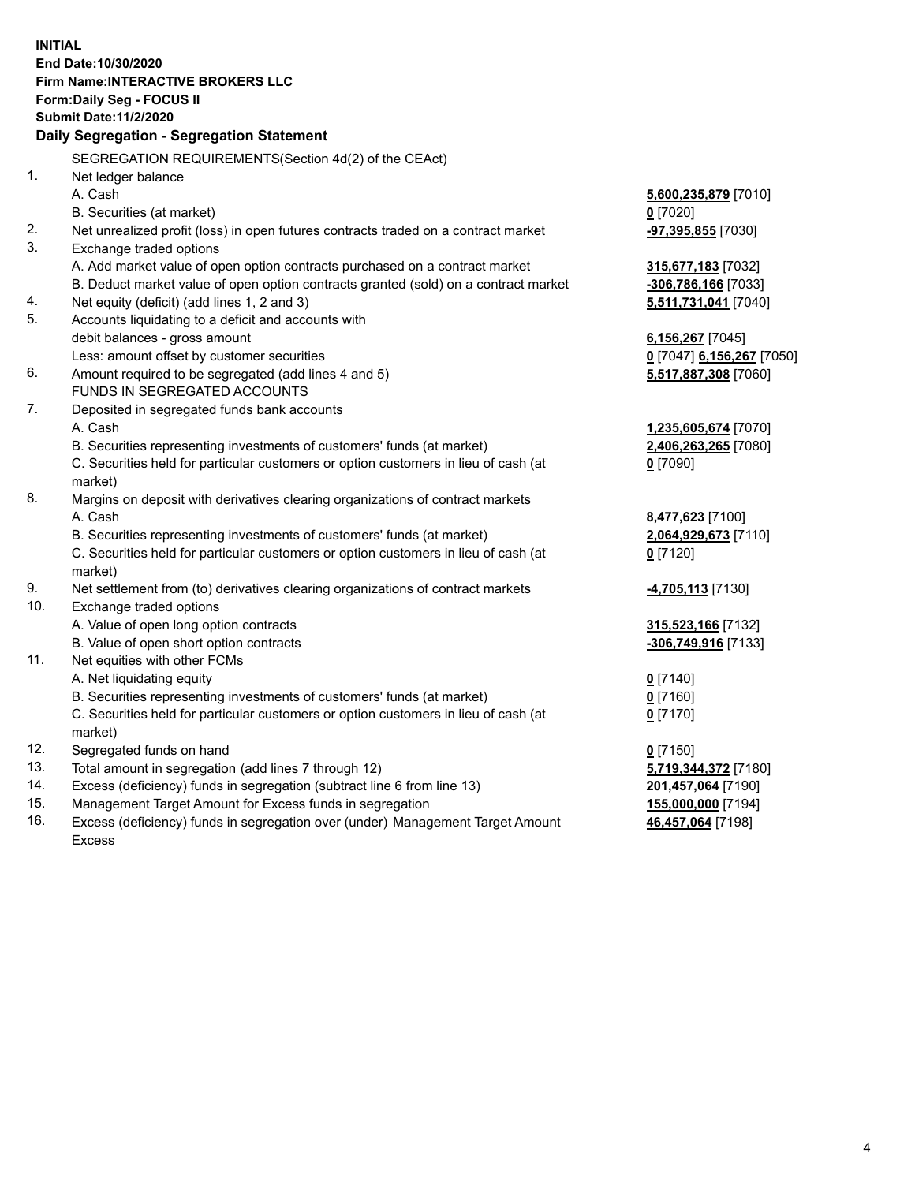**INITIAL End Date:10/30/2020 Firm Name:INTERACTIVE BROKERS LLC Form:Daily Seg - FOCUS II Submit Date:11/2/2020 Daily Segregation - Segregation Statement** SEGREGATION REQUIREMENTS(Section 4d(2) of the CEAct) 1. Net ledger balance A. Cash **5,600,235,879** [7010] B. Securities (at market) **0** [7020] 2. Net unrealized profit (loss) in open futures contracts traded on a contract market **-97,395,855** [7030] 3. Exchange traded options A. Add market value of open option contracts purchased on a contract market **315,677,183** [7032] B. Deduct market value of open option contracts granted (sold) on a contract market **-306,786,166** [7033] 4. Net equity (deficit) (add lines 1, 2 and 3) **5,511,731,041** [7040] 5. Accounts liquidating to a deficit and accounts with debit balances - gross amount **6,156,267** [7045] Less: amount offset by customer securities **0** [7047] **6,156,267** [7050] 6. Amount required to be segregated (add lines 4 and 5) **5,517,887,308** [7060] FUNDS IN SEGREGATED ACCOUNTS 7. Deposited in segregated funds bank accounts A. Cash **1,235,605,674** [7070] B. Securities representing investments of customers' funds (at market) **2,406,263,265** [7080] C. Securities held for particular customers or option customers in lieu of cash (at market) **0** [7090] 8. Margins on deposit with derivatives clearing organizations of contract markets A. Cash **8,477,623** [7100] B. Securities representing investments of customers' funds (at market) **2,064,929,673** [7110] C. Securities held for particular customers or option customers in lieu of cash (at market) **0** [7120] 9. Net settlement from (to) derivatives clearing organizations of contract markets **-4,705,113** [7130] 10. Exchange traded options A. Value of open long option contracts **315,523,166** [7132] B. Value of open short option contracts **-306,749,916** [7133] 11. Net equities with other FCMs A. Net liquidating equity **0** [7140] B. Securities representing investments of customers' funds (at market) **0** [7160] C. Securities held for particular customers or option customers in lieu of cash (at market) **0** [7170] 12. Segregated funds on hand **0** [7150] 13. Total amount in segregation (add lines 7 through 12) **5,719,344,372** [7180] 14. Excess (deficiency) funds in segregation (subtract line 6 from line 13) **201,457,064** [7190] 15. Management Target Amount for Excess funds in segregation **155,000,000** [7194] **46,457,064** [7198]

16. Excess (deficiency) funds in segregation over (under) Management Target Amount Excess